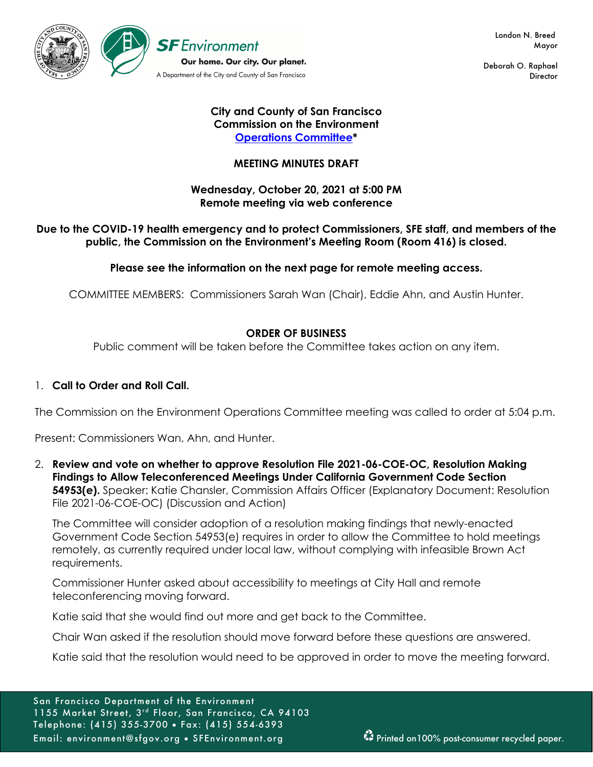

 London N. Breed Mayor

Deborah O. Raphael **Director** 

## **City and County of San Francisco Commission on the Environment Operations Committee\***

## **MEETING MINUTES DRAFT**

## **Wednesday, October 20, 2021 at 5:00 PM Remote meeting via web conference**

## **Due to the COVID-19 health emergency and to protect Commissioners, SFE staff, and members of the public, the Commission on the Environment's Meeting Room (Room 416) is closed.**

## **Please see the information on the next page for remote meeting access.**

COMMITTEE MEMBERS: Commissioners Sarah Wan (Chair), Eddie Ahn, and Austin Hunter.

## **ORDER OF BUSINESS**

Public comment will be taken before the Committee takes action on any item.

## 1. **Call to Order and Roll Call.**

The Commission on the Environment Operations Committee meeting was called to order at 5:04 p.m.

Present: Commissioners Wan, Ahn, and Hunter.

2. **Review and vote on whether to approve Resolution File 2021-06-COE-OC, Resolution Making Findings to Allow Teleconferenced Meetings Under California Government Code Section 54953(e).** Speaker: Katie Chansler, Commission Affairs Officer (Explanatory Document: Resolution File 2021-06-COE-OC) (Discussion and Action)

The Committee will consider adoption of a resolution making findings that newly-enacted Government Code Section 54953(e) requires in order to allow the Committee to hold meetings remotely, as currently required under local law, without complying with infeasible Brown Act requirements.

Commissioner Hunter asked about accessibility to meetings at City Hall and remote teleconferencing moving forward.

Katie said that she would find out more and get back to the Committee.

Chair Wan asked if the resolution should move forward before these questions are answered.

Katie said that the resolution would need to be approved in order to move the meeting forward.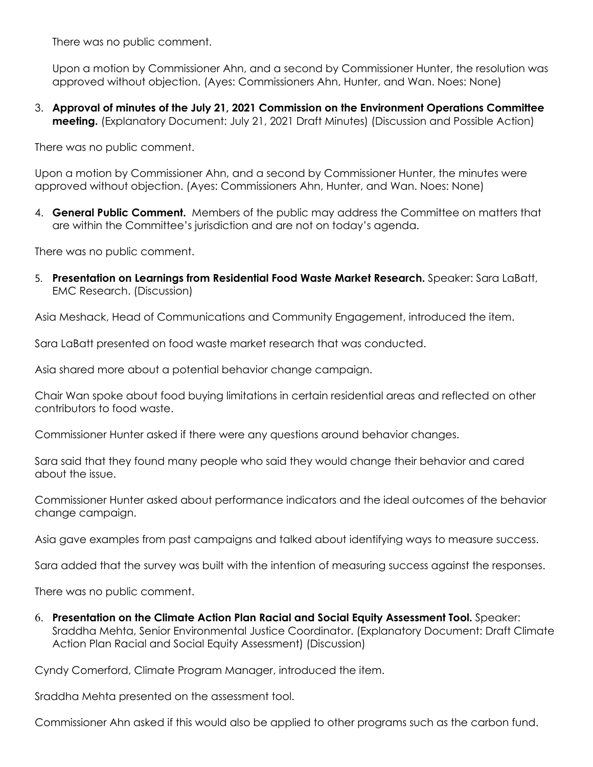There was no public comment.

Upon a motion by Commissioner Ahn, and a second by Commissioner Hunter, the resolution was approved without objection. (Ayes: Commissioners Ahn, Hunter, and Wan. Noes: None)

3. **Approval of minutes of the July 21, 2021 Commission on the Environment Operations Committee meeting.** (Explanatory Document: July 21, 2021 Draft Minutes) (Discussion and Possible Action)

There was no public comment.

Upon a motion by Commissioner Ahn, and a second by Commissioner Hunter, the minutes were approved without objection. (Ayes: Commissioners Ahn, Hunter, and Wan. Noes: None)

4. **General Public Comment.** Members of the public may address the Committee on matters that are within the Committee's jurisdiction and are not on today's agenda.

There was no public comment.

5. **Presentation on Learnings from Residential Food Waste Market Research.** Speaker: Sara LaBatt, EMC Research. (Discussion)

Asia Meshack, Head of Communications and Community Engagement, introduced the item.

Sara LaBatt presented on food waste market research that was conducted.

Asia shared more about a potential behavior change campaign.

Chair Wan spoke about food buying limitations in certain residential areas and reflected on other contributors to food waste.

Commissioner Hunter asked if there were any questions around behavior changes.

Sara said that they found many people who said they would change their behavior and cared about the issue.

Commissioner Hunter asked about performance indicators and the ideal outcomes of the behavior change campaign.

Asia gave examples from past campaigns and talked about identifying ways to measure success.

Sara added that the survey was built with the intention of measuring success against the responses.

There was no public comment.

6. **Presentation on the Climate Action Plan Racial and Social Equity Assessment Tool.** Speaker: Sraddha Mehta, Senior Environmental Justice Coordinator. (Explanatory Document: Draft Climate Action Plan Racial and Social Equity Assessment) (Discussion)

Cyndy Comerford, Climate Program Manager, introduced the item.

Sraddha Mehta presented on the assessment tool.

Commissioner Ahn asked if this would also be applied to other programs such as the carbon fund.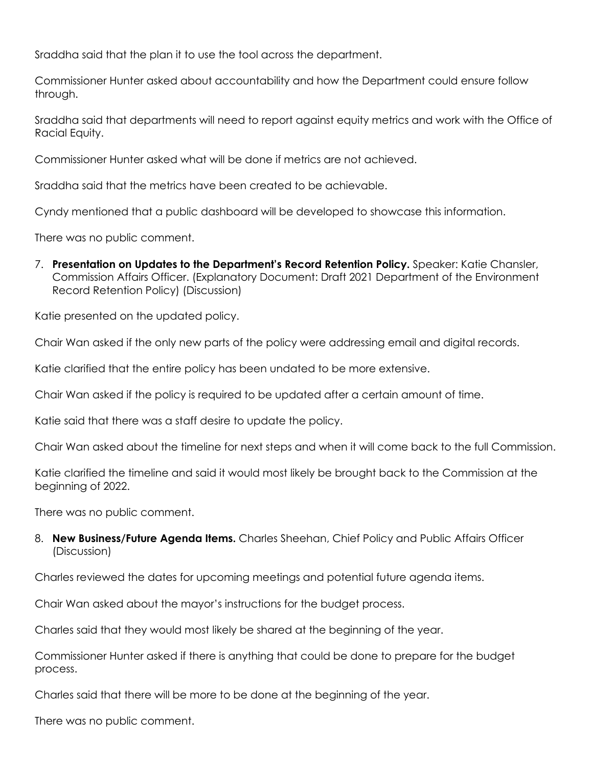Sraddha said that the plan it to use the tool across the department.

Commissioner Hunter asked about accountability and how the Department could ensure follow through.

Sraddha said that departments will need to report against equity metrics and work with the Office of Racial Equity.

Commissioner Hunter asked what will be done if metrics are not achieved.

Sraddha said that the metrics have been created to be achievable.

Cyndy mentioned that a public dashboard will be developed to showcase this information.

There was no public comment.

7. **Presentation on Updates to the Department's Record Retention Policy.** Speaker: Katie Chansler, Commission Affairs Officer. (Explanatory Document: Draft 2021 Department of the Environment Record Retention Policy) (Discussion)

Katie presented on the updated policy.

Chair Wan asked if the only new parts of the policy were addressing email and digital records.

Katie clarified that the entire policy has been undated to be more extensive.

Chair Wan asked if the policy is required to be updated after a certain amount of time.

Katie said that there was a staff desire to update the policy.

Chair Wan asked about the timeline for next steps and when it will come back to the full Commission.

Katie clarified the timeline and said it would most likely be brought back to the Commission at the beginning of 2022.

There was no public comment.

8. **New Business/Future Agenda Items.** Charles Sheehan, Chief Policy and Public Affairs Officer (Discussion)

Charles reviewed the dates for upcoming meetings and potential future agenda items.

Chair Wan asked about the mayor's instructions for the budget process.

Charles said that they would most likely be shared at the beginning of the year.

Commissioner Hunter asked if there is anything that could be done to prepare for the budget process.

Charles said that there will be more to be done at the beginning of the year.

There was no public comment.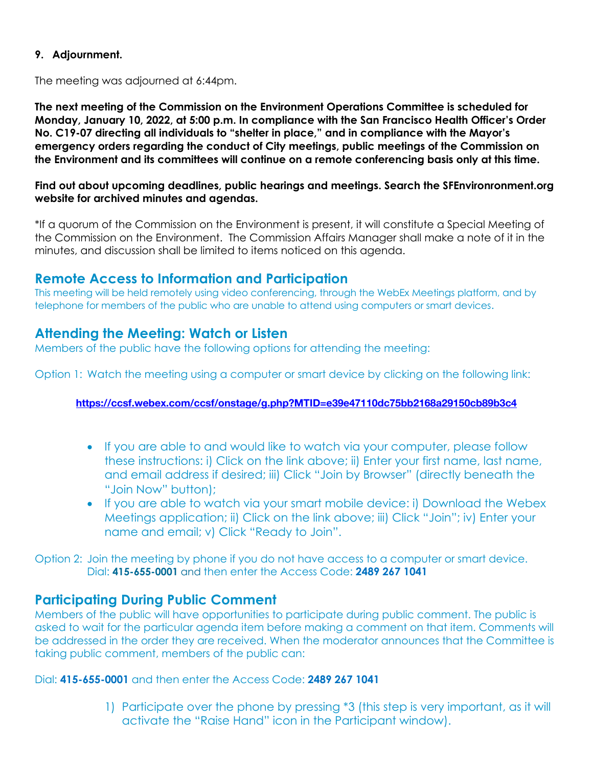## **9. Adjournment.**

The meeting was adjourned at 6:44pm.

**The next meeting of the Commission on the Environment Operations Committee is scheduled for Monday, January 10, 2022, at 5:00 p.m. In compliance with the San Francisco Health Officer's Order No. C19-07 directing all individuals to "shelter in place," and in compliance with the Mayor's emergency orders regarding the conduct of City meetings, public meetings of the Commission on the Environment and its committees will continue on a remote conferencing basis only at this time.**

### **Find out about upcoming deadlines, public hearings and meetings. Search the SFEnvironronment.org website for archived minutes and agendas.**

\*If a quorum of the Commission on the Environment is present, it will constitute a Special Meeting of the Commission on the Environment. The Commission Affairs Manager shall make a note of it in the minutes, and discussion shall be limited to items noticed on this agenda.

# **Remote Access to Information and Participation**

This meeting will be held remotely using video conferencing, through the WebEx Meetings platform, and by telephone for members of the public who are unable to attend using computers or smart devices.

# **Attending the Meeting: Watch or Listen**

Members of the public have the following options for attending the meeting:

Option 1: Watch the meeting using a computer or smart device by clicking on the following link:

### **https://ccsf.webex.com/ccsf/onstage/g.php?MTID=e39e47110dc75bb2168a29150cb89b3c4**

- If you are able to and would like to watch via your computer, please follow these instructions: i) Click on the link above; ii) Enter your first name, last name, and email address if desired; iii) Click "Join by Browser" (directly beneath the "Join Now" button);
- If you are able to watch via your smart mobile device: i) Download the Webex Meetings application; ii) Click on the link above; iii) Click "Join"; iv) Enter your name and email; v) Click "Ready to Join".

Option 2: Join the meeting by phone if you do not have access to a computer or smart device. Dial: **415-655-0001** and then enter the Access Code: **2489 267 1041**

## **Participating During Public Comment**

Members of the public will have opportunities to participate during public comment. The public is asked to wait for the particular agenda item before making a comment on that item. Comments will be addressed in the order they are received. When the moderator announces that the Committee is taking public comment, members of the public can:

Dial: **415-655-0001** and then enter the Access Code: **2489 267 1041**

1) Participate over the phone by pressing \*3 (this step is very important, as it will activate the "Raise Hand" icon in the Participant window).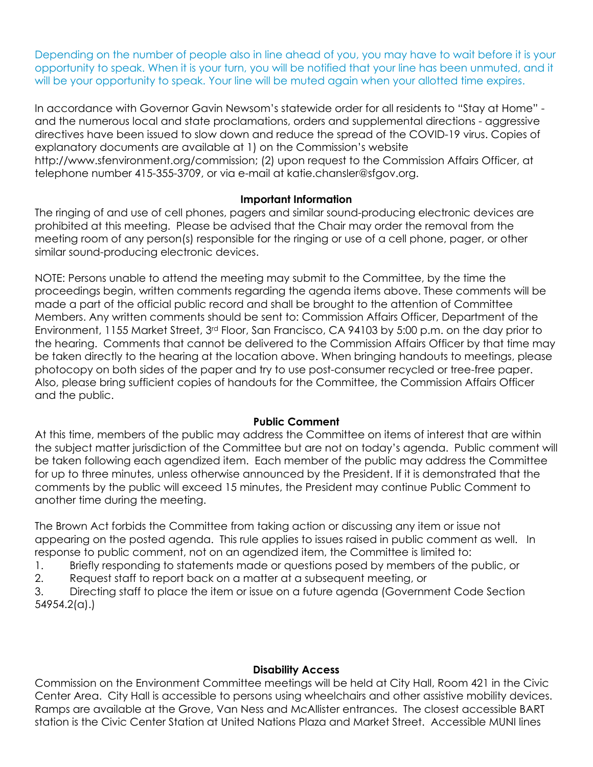Depending on the number of people also in line ahead of you, you may have to wait before it is your opportunity to speak. When it is your turn, you will be notified that your line has been unmuted, and it will be your opportunity to speak. Your line will be muted again when your allotted time expires.

In accordance with Governor Gavin Newsom's statewide order for all residents to "Stay at Home" and the numerous local and state proclamations, orders and supplemental directions - aggressive directives have been issued to slow down and reduce the spread of the COVID-19 virus. Copies of explanatory documents are available at 1) on the Commission's website http://www.sfenvironment.org/commission; (2) upon request to the Commission Affairs Officer, at telephone number 415-355-3709, or via e-mail at katie.chansler@sfgov.org.

## **Important Information**

The ringing of and use of cell phones, pagers and similar sound-producing electronic devices are prohibited at this meeting. Please be advised that the Chair may order the removal from the meeting room of any person(s) responsible for the ringing or use of a cell phone, pager, or other similar sound-producing electronic devices.

NOTE: Persons unable to attend the meeting may submit to the Committee, by the time the proceedings begin, written comments regarding the agenda items above. These comments will be made a part of the official public record and shall be brought to the attention of Committee Members. Any written comments should be sent to: Commission Affairs Officer, Department of the Environment, 1155 Market Street, 3rd Floor, San Francisco, CA 94103 by 5:00 p.m. on the day prior to the hearing. Comments that cannot be delivered to the Commission Affairs Officer by that time may be taken directly to the hearing at the location above. When bringing handouts to meetings, please photocopy on both sides of the paper and try to use post-consumer recycled or tree-free paper. Also, please bring sufficient copies of handouts for the Committee, the Commission Affairs Officer and the public.

### **Public Comment**

At this time, members of the public may address the Committee on items of interest that are within the subject matter jurisdiction of the Committee but are not on today's agenda. Public comment will be taken following each agendized item. Each member of the public may address the Committee for up to three minutes, unless otherwise announced by the President. If it is demonstrated that the comments by the public will exceed 15 minutes, the President may continue Public Comment to another time during the meeting.

The Brown Act forbids the Committee from taking action or discussing any item or issue not appearing on the posted agenda. This rule applies to issues raised in public comment as well. In response to public comment, not on an agendized item, the Committee is limited to:

1. Briefly responding to statements made or questions posed by members of the public, or

2. Request staff to report back on a matter at a subsequent meeting, or

3. Directing staff to place the item or issue on a future agenda (Government Code Section 54954.2(a).)

## **Disability Access**

Commission on the Environment Committee meetings will be held at City Hall, Room 421 in the Civic Center Area. City Hall is accessible to persons using wheelchairs and other assistive mobility devices. Ramps are available at the Grove, Van Ness and McAllister entrances. The closest accessible BART station is the Civic Center Station at United Nations Plaza and Market Street. Accessible MUNI lines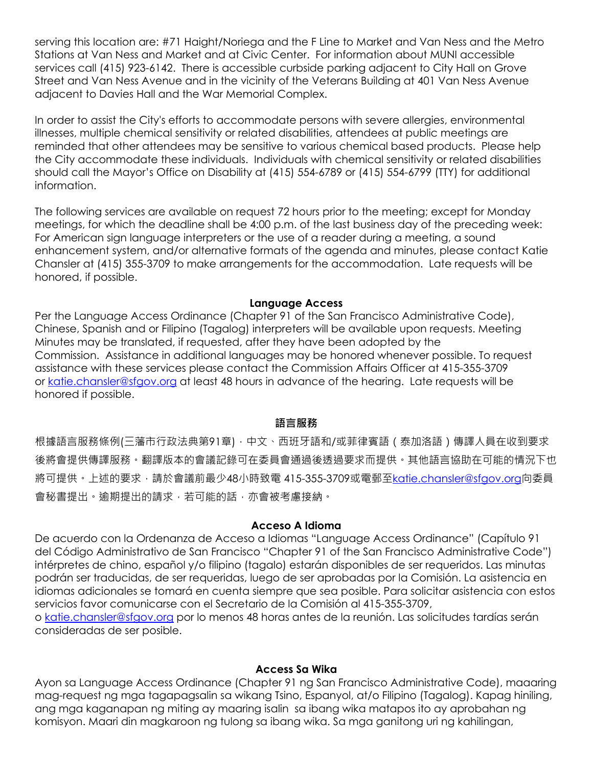serving this location are: #71 Haight/Noriega and the F Line to Market and Van Ness and the Metro Stations at Van Ness and Market and at Civic Center. For information about MUNI accessible services call (415) 923-6142. There is accessible curbside parking adjacent to City Hall on Grove Street and Van Ness Avenue and in the vicinity of the Veterans Building at 401 Van Ness Avenue adjacent to Davies Hall and the War Memorial Complex.

In order to assist the City's efforts to accommodate persons with severe allergies, environmental illnesses, multiple chemical sensitivity or related disabilities, attendees at public meetings are reminded that other attendees may be sensitive to various chemical based products. Please help the City accommodate these individuals. Individuals with chemical sensitivity or related disabilities should call the Mayor's Office on Disability at (415) 554-6789 or (415) 554-6799 (TTY) for additional information.

The following services are available on request 72 hours prior to the meeting; except for Monday meetings, for which the deadline shall be 4:00 p.m. of the last business day of the preceding week: For American sign language interpreters or the use of a reader during a meeting, a sound enhancement system, and/or alternative formats of the agenda and minutes, please contact Katie Chansler at (415) 355-3709 to make arrangements for the accommodation. Late requests will be honored, if possible.

### **Language Access**

Per the Language Access Ordinance (Chapter 91 of the San Francisco Administrative Code), Chinese, Spanish and or Filipino (Tagalog) interpreters will be available upon requests. Meeting Minutes may be translated, if requested, after they have been adopted by the Commission. Assistance in additional languages may be honored whenever possible. To request assistance with these services please contact the Commission Affairs Officer at 415-355-3709 or katie.chansler@sfgov.org at least 48 hours in advance of the hearing. Late requests will be honored if possible.

#### **語言服務**

根據語言服務條例(三藩市行政法典第91章),中文、西班牙語和/或菲律賓語 (泰加洛語)傳譯人員在收到要求 後將會提供傳譯服務。翻譯版本的會議記錄可在委員會通過後透過要求而提供。其他語言協助在可能的情況下也 將可提供。上述的要求,請於會議前最少48小時致電 415-355-3709或電郵至katie.chansler@sfgov.org向委員 會秘書提出。逾期提出的請求,若可能的話,亦會被考慮接納。

#### **Acceso A Idioma**

De acuerdo con la Ordenanza de Acceso a Idiomas "Language Access Ordinance" (Capítulo 91 del Código Administrativo de San Francisco "Chapter 91 of the San Francisco Administrative Code") intérpretes de chino, español y/o filipino (tagalo) estarán disponibles de ser requeridos. Las minutas podrán ser traducidas, de ser requeridas, luego de ser aprobadas por la Comisión. La asistencia en idiomas adicionales se tomará en cuenta siempre que sea posible. Para solicitar asistencia con estos servicios favor comunicarse con el Secretario de la Comisión al 415-355-3709,

o katie.chansler@sfgov.org por lo menos 48 horas antes de la reunión. Las solicitudes tardías serán consideradas de ser posible.

#### **Access Sa Wika**

Ayon sa Language Access Ordinance (Chapter 91 ng San Francisco Administrative Code), maaaring mag-request ng mga tagapagsalin sa wikang Tsino, Espanyol, at/o Filipino (Tagalog). Kapag hiniling, ang mga kaganapan ng miting ay maaring isalin sa ibang wika matapos ito ay aprobahan ng komisyon. Maari din magkaroon ng tulong sa ibang wika. Sa mga ganitong uri ng kahilingan,